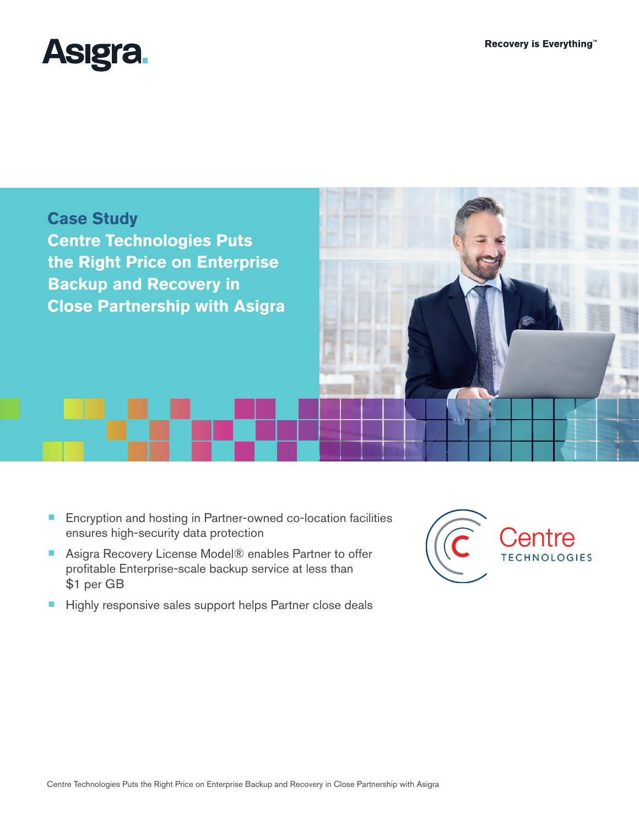



- Encryption and hosting in Partner-owned co-location facilities ensures high-security data protection
- Asigra Recovery License Model® enables Partner to offer profitable Enterprise-scale backup service at less than \$1 per GB
- Highly responsive sales support helps Partner close deals

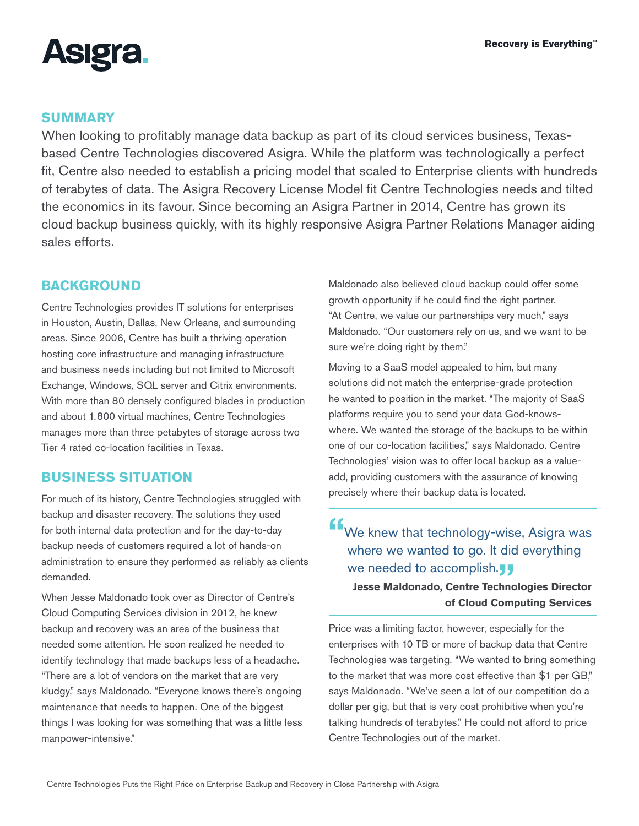

#### **SUMMARY**

When looking to profitably manage data backup as part of its cloud services business, Texasbased Centre Technologies discovered Asigra. While the platform was technologically a perfect fit, Centre also needed to establish a pricing model that scaled to Enterprise clients with hundreds of terabytes of data. The Asigra Recovery License Model fit Centre Technologies needs and tilted the economics in its favour. Since becoming an Asigra Partner in 2014, Centre has grown its cloud backup business quickly, with its highly responsive Asigra Partner Relations Manager aiding sales efforts.

### **BACKGROUND**

Centre Technologies provides IT solutions for enterprises in Houston, Austin, Dallas, New Orleans, and surrounding areas. Since 2006, Centre has built a thriving operation hosting core infrastructure and managing infrastructure and business needs including but not limited to Microsoft Exchange, Windows, SQL server and Citrix environments. With more than 80 densely configured blades in production and about 1,800 virtual machines, Centre Technologies manages more than three petabytes of storage across two Tier 4 rated co-location facilities in Texas.

### **BUSINESS SITUATION**

For much of its history, Centre Technologies struggled with backup and disaster recovery. The solutions they used for both internal data protection and for the day-to-day backup needs of customers required a lot of hands-on administration to ensure they performed as reliably as clients demanded.

When Jesse Maldonado took over as Director of Centre's Cloud Computing Services division in 2012, he knew backup and recovery was an area of the business that needed some attention. He soon realized he needed to identify technology that made backups less of a headache. "There are a lot of vendors on the market that are very kludgy," says Maldonado. "Everyone knows there's ongoing maintenance that needs to happen. One of the biggest things I was looking for was something that was a little less manpower-intensive."

Maldonado also believed cloud backup could offer some growth opportunity if he could find the right partner. "At Centre, we value our partnerships very much," says Maldonado. "Our customers rely on us, and we want to be sure we're doing right by them."

Moving to a SaaS model appealed to him, but many solutions did not match the enterprise-grade protection he wanted to position in the market. "The majority of SaaS platforms require you to send your data God-knowswhere. We wanted the storage of the backups to be within one of our co-location facilities," says Maldonado. Centre Technologies' vision was to offer local backup as a valueadd, providing customers with the assurance of knowing precisely where their backup data is located.

# **"**We knew that technology-wise, Asigra was where we wanted to go. It did everything we needed to accomplish. **Jesse Maldonado, Centre Technologies Director of Cloud Computing Services**

Price was a limiting factor, however, especially for the enterprises with 10 TB or more of backup data that Centre Technologies was targeting. "We wanted to bring something to the market that was more cost effective than \$1 per GB," says Maldonado. "We've seen a lot of our competition do a dollar per gig, but that is very cost prohibitive when you're talking hundreds of terabytes." He could not afford to price Centre Technologies out of the market.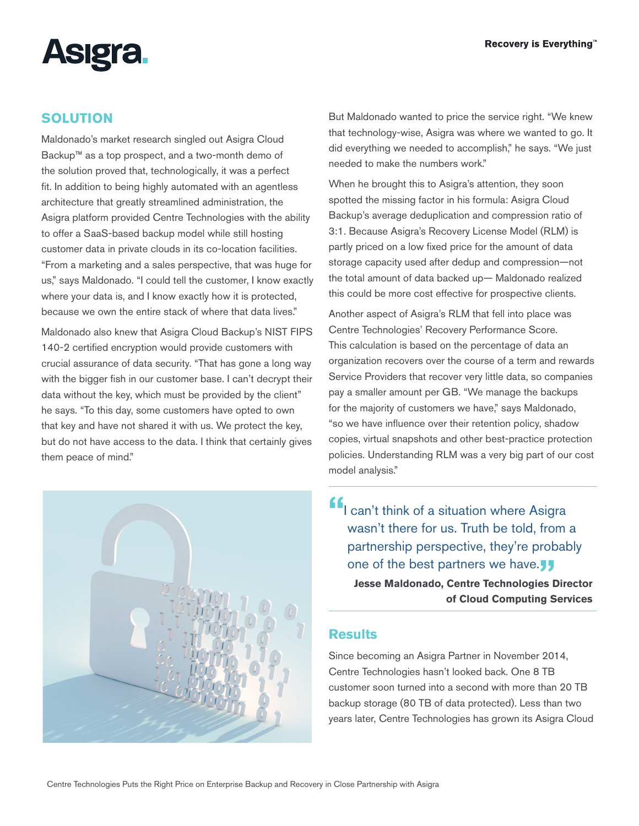

## **SOLUTION**

Maldonado's market research singled out Asigra Cloud Backup™ as a top prospect, and a two-month demo of the solution proved that, technologically, it was a perfect fit. In addition to being highly automated with an agentless architecture that greatly streamlined administration, the Asigra platform provided Centre Technologies with the ability to offer a SaaS-based backup model while still hosting customer data in private clouds in its co-location facilities. "From a marketing and a sales perspective, that was huge for us," says Maldonado. "I could tell the customer, I know exactly where your data is, and I know exactly how it is protected, because we own the entire stack of where that data lives."

Maldonado also knew that Asigra Cloud Backup's NIST FIPS 140-2 certified encryption would provide customers with crucial assurance of data security. "That has gone a long way with the bigger fish in our customer base. I can't decrypt their data without the key, which must be provided by the client" he says. "To this day, some customers have opted to own that key and have not shared it with us. We protect the key, but do not have access to the data. I think that certainly gives them peace of mind."



But Maldonado wanted to price the service right. "We knew that technology-wise, Asigra was where we wanted to go. It did everything we needed to accomplish," he says. "We just needed to make the numbers work."

When he brought this to Asigra's attention, they soon spotted the missing factor in his formula: Asigra Cloud Backup's average deduplication and compression ratio of 3:1. Because Asigra's Recovery License Model (RLM) is partly priced on a low fixed price for the amount of data storage capacity used after dedup and compression—not the total amount of data backed up— Maldonado realized this could be more cost effective for prospective clients.

Another aspect of Asigra's RLM that fell into place was Centre Technologies' Recovery Performance Score. This calculation is based on the percentage of data an organization recovers over the course of a term and rewards Service Providers that recover very little data, so companies pay a smaller amount per GB. "We manage the backups for the majority of customers we have," says Maldonado, "so we have influence over their retention policy, shadow copies, virtual snapshots and other best-practice protection policies. Understanding RLM was a very big part of our cost model analysis."

**"**I can't think of a situation where Asigra wasn't there for us. Truth be told, from a partnership perspective, they're probably one of the best partners we have.<sup>11</sup> **Jesse Maldonado, Centre Technologies Director of Cloud Computing Services**

#### **Results**

Since becoming an Asigra Partner in November 2014, Centre Technologies hasn't looked back. One 8 TB customer soon turned into a second with more than 20 TB backup storage (80 TB of data protected). Less than two years later, Centre Technologies has grown its Asigra Cloud